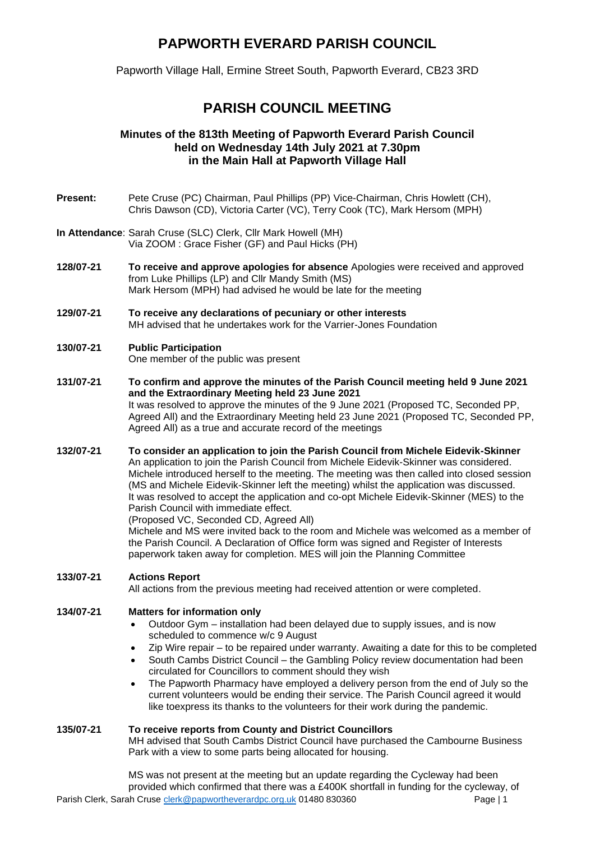# **PAPWORTH EVERARD PARISH COUNCIL**

Papworth Village Hall, Ermine Street South, Papworth Everard, CB23 3RD

# **PARISH COUNCIL MEETING**

# **Minutes of the 813th Meeting of Papworth Everard Parish Council held on Wednesday 14th July 2021 at 7.30pm in the Main Hall at Papworth Village Hall**

- **Present:** Pete Cruse (PC) Chairman, Paul Phillips (PP) Vice-Chairman, Chris Howlett (CH), Chris Dawson (CD), Victoria Carter (VC), Terry Cook (TC), Mark Hersom (MPH)
- **In Attendance**: Sarah Cruse (SLC) Clerk, Cllr Mark Howell (MH) Via ZOOM : Grace Fisher (GF) and Paul Hicks (PH)
- **128/07-21 To receive and approve apologies for absence** Apologies were received and approved from Luke Phillips (LP) and Cllr Mandy Smith (MS) Mark Hersom (MPH) had advised he would be late for the meeting
- **129/07-21 To receive any declarations of pecuniary or other interests**  MH advised that he undertakes work for the Varrier-Jones Foundation

#### **130/07-21 Public Participation**  One member of the public was present

- **131/07-21 To confirm and approve the minutes of the Parish Council meeting held 9 June 2021 and the Extraordinary Meeting held 23 June 2021** It was resolved to approve the minutes of the 9 June 2021 (Proposed TC, Seconded PP, Agreed All) and the Extraordinary Meeting held 23 June 2021 (Proposed TC, Seconded PP, Agreed All) as a true and accurate record of the meetings
- **132/07-21 To consider an application to join the Parish Council from Michele Eidevik-Skinner**  An application to join the Parish Council from Michele Eidevik-Skinner was considered. Michele introduced herself to the meeting. The meeting was then called into closed session (MS and Michele Eidevik-Skinner left the meeting) whilst the application was discussed. It was resolved to accept the application and co-opt Michele Eidevik-Skinner (MES) to the Parish Council with immediate effect.

(Proposed VC, Seconded CD, Agreed All)

Michele and MS were invited back to the room and Michele was welcomed as a member of the Parish Council. A Declaration of Office form was signed and Register of Interests paperwork taken away for completion. MES will join the Planning Committee

## **133/07-21 Actions Report**

All actions from the previous meeting had received attention or were completed.

## **134/07-21 Matters for information only**

- Outdoor Gym installation had been delayed due to supply issues, and is now scheduled to commence w/c 9 August
- Zip Wire repair to be repaired under warranty. Awaiting a date for this to be completed
- South Cambs District Council the Gambling Policy review documentation had been circulated for Councillors to comment should they wish
- The Papworth Pharmacy have employed a delivery person from the end of July so the current volunteers would be ending their service. The Parish Council agreed it would like toexpress its thanks to the volunteers for their work during the pandemic.

## **135/07-21 To receive reports from County and District Councillors**

MH advised that South Cambs District Council have purchased the Cambourne Business Park with a view to some parts being allocated for housing.

Parish Clerk, Sarah Crus[e clerk@papwortheverardpc.org.uk](mailto:clerk@papwortheverardpc.org.uk) 01480 830360 MS was not present at the meeting but an update regarding the Cycleway had been provided which confirmed that there was a £400K shortfall in funding for the cycleway, of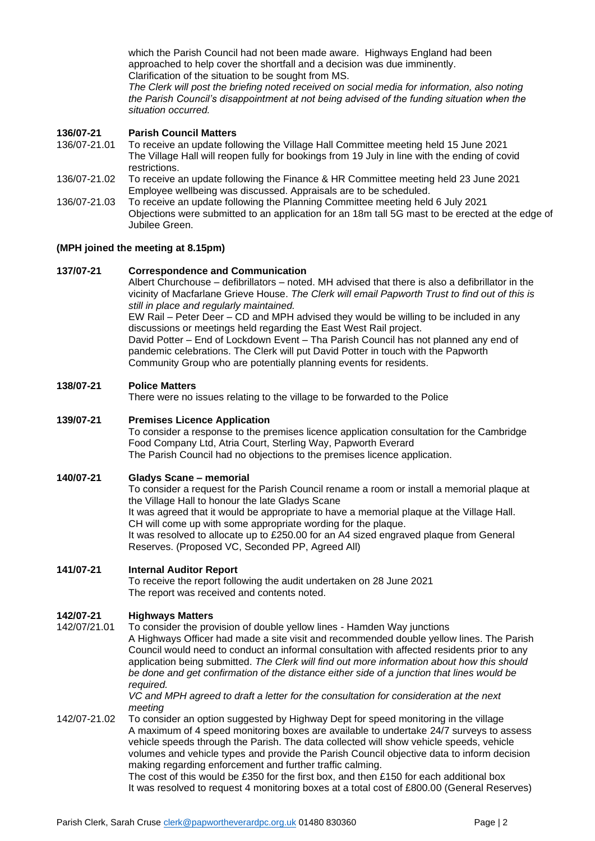which the Parish Council had not been made aware. Highways England had been approached to help cover the shortfall and a decision was due imminently. Clarification of the situation to be sought from MS.

*The Clerk will post the briefing noted received on social media for information, also noting the Parish Council's disappointment at not being advised of the funding situation when the situation occurred.*

#### **136/07-21 Parish Council Matters**

- 136/07-21.01 To receive an update following the Village Hall Committee meeting held 15 June 2021 The Village Hall will reopen fully for bookings from 19 July in line with the ending of covid restrictions.
- 136/07-21.02 To receive an update following the Finance & HR Committee meeting held 23 June 2021 Employee wellbeing was discussed. Appraisals are to be scheduled.
- 136/07-21.03 To receive an update following the Planning Committee meeting held 6 July 2021 Objections were submitted to an application for an 18m tall 5G mast to be erected at the edge of Jubilee Green.

#### **(MPH joined the meeting at 8.15pm)**

#### **137/07-21 Correspondence and Communication**

Albert Churchouse – defibrillators – noted. MH advised that there is also a defibrillator in the vicinity of Macfarlane Grieve House. *The Clerk will email Papworth Trust to find out of this is still in place and regularly maintained.*

EW Rail – Peter Deer – CD and MPH advised they would be willing to be included in any discussions or meetings held regarding the East West Rail project.

David Potter – End of Lockdown Event – Tha Parish Council has not planned any end of pandemic celebrations. The Clerk will put David Potter in touch with the Papworth Community Group who are potentially planning events for residents.

#### **138/07-21 Police Matters**

There were no issues relating to the village to be forwarded to the Police

#### **139/07-21 Premises Licence Application**

To consider a response to the premises licence application consultation for the Cambridge Food Company Ltd, Atria Court, Sterling Way, Papworth Everard The Parish Council had no objections to the premises licence application.

#### **140/07-21 Gladys Scane – memorial**

To consider a request for the Parish Council rename a room or install a memorial plaque at the Village Hall to honour the late Gladys Scane It was agreed that it would be appropriate to have a memorial plaque at the Village Hall. CH will come up with some appropriate wording for the plaque. It was resolved to allocate up to £250.00 for an A4 sized engraved plaque from General Reserves. (Proposed VC, Seconded PP, Agreed All)

#### **141/07-21 Internal Auditor Report**

To receive the report following the audit undertaken on 28 June 2021 The report was received and contents noted.

#### **142/07-21 Highways Matters**

142/07/21.01 To consider the provision of double yellow lines - Hamden Way junctions A Highways Officer had made a site visit and recommended double yellow lines. The Parish Council would need to conduct an informal consultation with affected residents prior to any application being submitted. *The Clerk will find out more information about how this should be done and get confirmation of the distance either side of a junction that lines would be required.*

*VC and MPH agreed to draft a letter for the consultation for consideration at the next meeting* 

142/07-21.02 To consider an option suggested by Highway Dept for speed monitoring in the village A maximum of 4 speed monitoring boxes are available to undertake 24/7 surveys to assess vehicle speeds through the Parish. The data collected will show vehicle speeds, vehicle volumes and vehicle types and provide the Parish Council objective data to inform decision making regarding enforcement and further traffic calming.

The cost of this would be £350 for the first box, and then £150 for each additional box It was resolved to request 4 monitoring boxes at a total cost of £800.00 (General Reserves)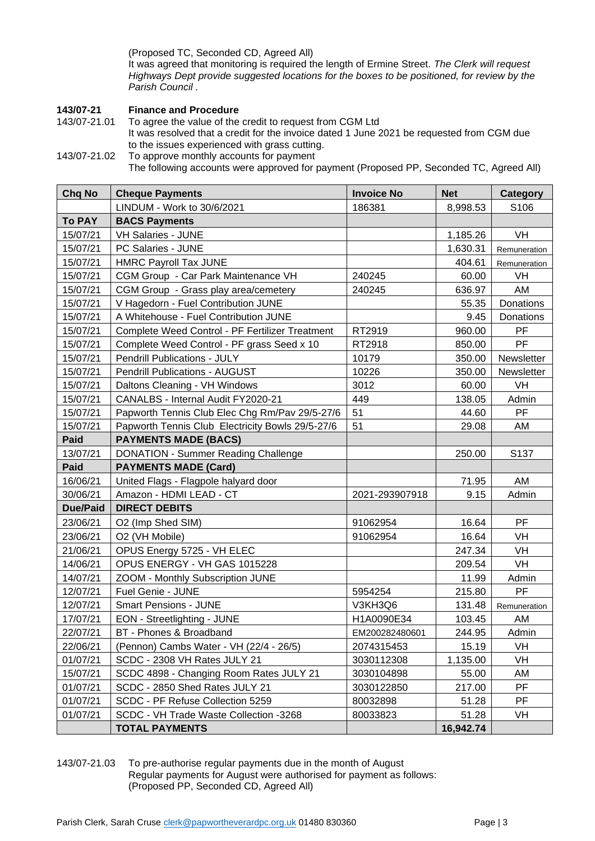(Proposed TC, Seconded CD, Agreed All)

It was agreed that monitoring is required the length of Ermine Street. *The Clerk will request Highways Dept provide suggested locations for the boxes to be positioned, for review by the Parish Council .*

# **143/07-21 Finance and Procedure**

To agree the value of the credit to request from CGM Ltd It was resolved that a credit for the invoice dated 1 June 2021 be requested from CGM due to the issues experienced with grass cutting.

143/07-21.02 To approve monthly accounts for payment

The following accounts were approved for payment (Proposed PP, Seconded TC, Agreed All)

| <b>Chq No</b>   | <b>Cheque Payments</b>                           | <b>Invoice No</b> | <b>Net</b> | Category     |
|-----------------|--------------------------------------------------|-------------------|------------|--------------|
|                 | LINDUM - Work to 30/6/2021                       | 186381            | 8,998.53   | S106         |
| <b>To PAY</b>   | <b>BACS Payments</b>                             |                   |            |              |
| 15/07/21        | <b>VH Salaries - JUNE</b>                        |                   | 1,185.26   | VH           |
| 15/07/21        | PC Salaries - JUNE                               |                   | 1,630.31   | Remuneration |
| 15/07/21        | <b>HMRC Payroll Tax JUNE</b>                     |                   | 404.61     | Remuneration |
| 15/07/21        | CGM Group - Car Park Maintenance VH              | 240245            | 60.00      | VH           |
| 15/07/21        | CGM Group - Grass play area/cemetery             | 240245            | 636.97     | AM           |
| 15/07/21        | V Hagedorn - Fuel Contribution JUNE              |                   | 55.35      | Donations    |
| 15/07/21        | A Whitehouse - Fuel Contribution JUNE            |                   | 9.45       | Donations    |
| 15/07/21        | Complete Weed Control - PF Fertilizer Treatment  | RT2919            | 960.00     | PF           |
| 15/07/21        | Complete Weed Control - PF grass Seed x 10       | RT2918            | 850.00     | PF           |
| 15/07/21        | <b>Pendrill Publications - JULY</b>              | 10179             | 350.00     | Newsletter   |
| 15/07/21        | Pendrill Publications - AUGUST                   | 10226             | 350.00     | Newsletter   |
| 15/07/21        | Daltons Cleaning - VH Windows                    | 3012              | 60.00      | <b>VH</b>    |
| 15/07/21        | CANALBS - Internal Audit FY2020-21               | 449               | 138.05     | Admin        |
| 15/07/21        | Papworth Tennis Club Elec Chg Rm/Pav 29/5-27/6   | 51                | 44.60      | PF           |
| 15/07/21        | Papworth Tennis Club Electricity Bowls 29/5-27/6 | 51                | 29.08      | AM           |
| Paid            | <b>PAYMENTS MADE (BACS)</b>                      |                   |            |              |
| 13/07/21        | <b>DONATION - Summer Reading Challenge</b>       |                   | 250.00     | S137         |
| Paid            | <b>PAYMENTS MADE (Card)</b>                      |                   |            |              |
| 16/06/21        | United Flags - Flagpole halyard door             |                   | 71.95      | AM           |
| 30/06/21        | Amazon - HDMI LEAD - CT                          | 2021-293907918    | 9.15       | Admin        |
| <b>Due/Paid</b> | <b>DIRECT DEBITS</b>                             |                   |            |              |
| 23/06/21        | O2 (Imp Shed SIM)                                | 91062954          | 16.64      | PF.          |
| 23/06/21        | O2 (VH Mobile)                                   | 91062954          | 16.64      | <b>VH</b>    |
| 21/06/21        | OPUS Energy 5725 - VH ELEC                       |                   | 247.34     | <b>VH</b>    |
| 14/06/21        | OPUS ENERGY - VH GAS 1015228                     |                   | 209.54     | VH           |
| 14/07/21        | ZOOM - Monthly Subscription JUNE                 |                   | 11.99      | Admin        |
| 12/07/21        | Fuel Genie - JUNE                                | 5954254           | 215.80     | PF           |
| 12/07/21        | <b>Smart Pensions - JUNE</b>                     | V3KH3Q6           | 131.48     | Remuneration |
| 17/07/21        | EON - Streetlighting - JUNE                      | H1A0090E34        | 103.45     | AM           |
| 22/07/21        | BT - Phones & Broadband                          | EM200282480601    | 244.95     | Admin        |
| 22/06/21        | (Pennon) Cambs Water - VH (22/4 - 26/5)          | 2074315453        | 15.19      | VH           |
| 01/07/21        | SCDC - 2308 VH Rates JULY 21                     | 3030112308        | 1,135.00   | VH           |
| 15/07/21        | SCDC 4898 - Changing Room Rates JULY 21          | 3030104898        | 55.00      | AM           |
| 01/07/21        | SCDC - 2850 Shed Rates JULY 21                   | 3030122850        | 217.00     | PF           |
| 01/07/21        | SCDC - PF Refuse Collection 5259                 | 80032898          | 51.28      | PF           |
| 01/07/21        | SCDC - VH Trade Waste Collection -3268           | 80033823          | 51.28      | VH           |
|                 | <b>TOTAL PAYMENTS</b>                            |                   | 16,942.74  |              |

143/07-21.03 To pre-authorise regular payments due in the month of August Regular payments for August were authorised for payment as follows: (Proposed PP, Seconded CD, Agreed All)